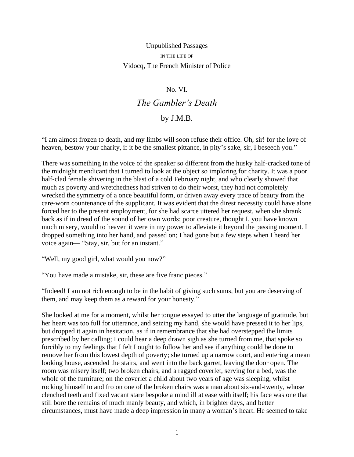## Unpublished Passages IN THE LIFE OF Vidocq, The French Minister of Police

## ――― No. VI.

## *The Gambler's Death*

## by J.M.B.

"I am almost frozen to death, and my limbs will soon refuse their office. Oh, sir! for the love of heaven, bestow your charity, if it be the smallest pittance, in pity's sake, sir, I beseech you."

There was something in the voice of the speaker so different from the husky half-cracked tone of the midnight mendicant that I turned to look at the object so imploring for charity. It was a poor half-clad female shivering in the blast of a cold February night, and who clearly showed that much as poverty and wretchedness had striven to do their worst, they had not completely wrecked the symmetry of a once beautiful form, or driven away every trace of beauty from the care-worn countenance of the supplicant. It was evident that the direst necessity could have alone forced her to the present employment, for she had scarce uttered her request, when she shrank back as if in dread of the sound of her own words; poor creature, thought I, you have known much misery, would to heaven it were in my power to alleviate it beyond the passing moment. I dropped something into her hand, and passed on; I had gone but a few steps when I heard her voice again— "Stay, sir, but for an instant."

"Well, my good girl, what would you now?"

"You have made a mistake, sir, these are five franc pieces."

"Indeed! I am not rich enough to be in the habit of giving such sums, but you are deserving of them, and may keep them as a reward for your honesty."

She looked at me for a moment, whilst her tongue essayed to utter the language of gratitude, but her heart was too full for utterance, and seizing my hand, she would have pressed it to her lips, but dropped it again in hesitation, as if in remembrance that she had overstepped the limits prescribed by her calling; I could hear a deep drawn sigh as she turned from me, that spoke so forcibly to my feelings that I felt I ought to follow her and see if anything could be done to remove her from this lowest depth of poverty; she turned up a narrow court, and entering a mean looking house, ascended the stairs, and went into the back garret, leaving the door open. The room was misery itself; two broken chairs, and a ragged coverlet, serving for a bed, was the whole of the furniture; on the coverlet a child about two years of age was sleeping, whilst rocking himself to and fro on one of the broken chairs was a man about six-and-twenty, whose clenched teeth and fixed vacant stare bespoke a mind ill at ease with itself; his face was one that still bore the remains of much manly beauty, and which, in brighter days, and better circumstances, must have made a deep impression in many a woman's heart. He seemed to take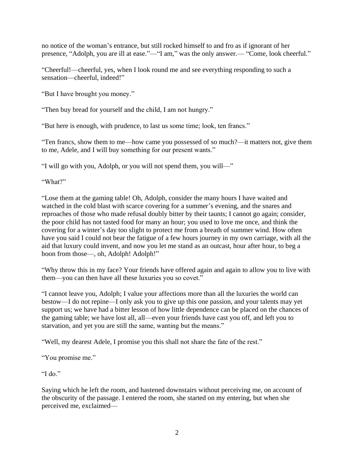no notice of the woman's entrance, but still rocked himself to and fro as if ignorant of her presence, "Adolph, you are ill at ease."—"I am," was the only answer.— "Come, look cheerful."

"Cheerful!—cheerful, yes, when I look round me and see everything responding to such a sensation—cheerful, indeed!"

"But I have brought you money."

"Then buy bread for yourself and the child, I am not hungry."

"But here is enough, with prudence, to last us some time; look, ten francs."

"Ten francs, show them to me—how came you possessed of so much?—it matters not, give them to me, Adele, and I will buy something for our present wants."

"I will go with you, Adolph, or you will not spend them, you will—"

"What?"

"Lose them at the gaming table! Oh, Adolph, consider the many hours I have waited and watched in the cold blast with scarce covering for a summer's evening, and the snares and reproaches of those who made refusal doubly bitter by their taunts; I cannot go again; consider, the poor child has not tasted food for many an hour; you used to love me once, and think the covering for a winter's day too slight to protect me from a breath of summer wind. How often have you said I could not bear the fatigue of a few hours journey in my own carriage, with all the aid that luxury could invent, and now you let me stand as an outcast, hour after hour, to beg a boon from those—, oh, Adolph! Adolph!"

"Why throw this in my face? Your friends have offered again and again to allow you to live with them—you can then have all these luxuries you so covet."

"I cannot leave you, Adolph; I value your affections more than all the luxuries the world can bestow—I do not repine—I only ask you to give up this one passion, and your talents may yet support us; we have had a bitter lesson of how little dependence can be placed on the chances of the gaming table; we have lost all, all—even your friends have cast you off, and left you to starvation, and yet you are still the same, wanting but the means."

"Well, my dearest Adele, I promise you this shall not share the fate of the rest."

"You promise me."

"I do."

Saying which he left the room, and hastened downstairs without perceiving me, on account of the obscurity of the passage. I entered the room, she started on my entering, but when she perceived me, exclaimed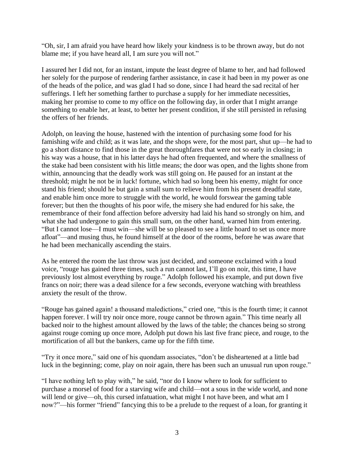"Oh, sir, I am afraid you have heard how likely your kindness is to be thrown away, but do not blame me; if you have heard all, I am sure you will not."

I assured her I did not, for an instant, impute the least degree of blame to her, and had followed her solely for the purpose of rendering farther assistance, in case it had been in my power as one of the heads of the police, and was glad I had so done, since I had heard the sad recital of her sufferings. I left her something farther to purchase a supply for her immediate necessities, making her promise to come to my office on the following day, in order that I might arrange something to enable her, at least, to better her present condition, if she still persisted in refusing the offers of her friends.

Adolph, on leaving the house, hastened with the intention of purchasing some food for his famishing wife and child; as it was late, and the shops were, for the most part, shut up—he had to go a short distance to find those in the great thoroughfares that were not so early in closing; in his way was a house, that in his latter days he had often frequented, and where the smallness of the stake had been consistent with his little means; the door was open, and the lights shone from within, announcing that the deadly work was still going on. He paused for an instant at the threshold; might he not be in luck! fortune, which had so long been his enemy, might for once stand his friend; should he but gain a small sum to relieve him from his present dreadful state, and enable him once more to struggle with the world, he would forswear the gaming table forever; but then the thoughts of his poor wife, the misery she had endured for his sake, the remembrance of their fond affection before adversity had laid his hand so strongly on him, and what she had undergone to gain this small sum, on the other hand, warned him from entering. "But I cannot lose—I must win—she will be so pleased to see a little hoard to set us once more afloat"—and musing thus, he found himself at the door of the rooms, before he was aware that he had been mechanically ascending the stairs.

As he entered the room the last throw was just decided, and someone exclaimed with a loud voice, "rouge has gained three times, such a run cannot last, I'll go on noir, this time, I have previously lost almost everything by rouge." Adolph followed his example, and put down five francs on noir; there was a dead silence for a few seconds, everyone watching with breathless anxiety the result of the throw.

"Rouge has gained again! a thousand maledictions," cried one, "this is the fourth time; it cannot happen forever. I will try noir once more, rouge cannot be thrown again." This time nearly all backed noir to the highest amount allowed by the laws of the table; the chances being so strong against rouge coming up once more, Adolph put down his last five franc piece, and rouge, to the mortification of all but the bankers, came up for the fifth time.

"Try it once more," said one of his quondam associates, "don't be disheartened at a little bad luck in the beginning; come, play on noir again, there has been such an unusual run upon rouge."

"I have nothing left to play with," he said, "nor do I know where to look for sufficient to purchase a morsel of food for a starving wife and child—not a sous in the wide world, and none will lend or give—oh, this cursed infatuation, what might I not have been, and what am I now?"—his former "friend" fancying this to be a prelude to the request of a loan, for granting it